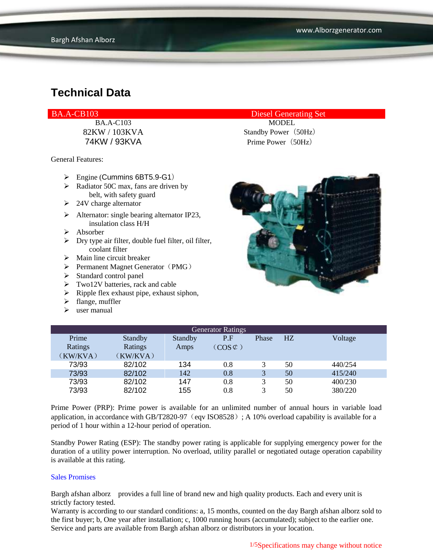BA.A-C103 MODEL

General Features:

- Engine (Cummins 6BT5.9-G1)
- $\triangleright$  Radiator 50C max, fans are driven by belt, with safety guard
- $\geq 24V$  charge alternator
- $\triangleright$  Alternator: single bearing alternator IP23, insulation class H/H
- $\triangleright$  Absorber
- $\triangleright$  Dry type air filter, double fuel filter, oil filter, coolant filter
- $\triangleright$  Main line circuit breaker
- $\triangleright$  Permanent Magnet Generator (PMG)
- > Standard control panel
- $\triangleright$  Two12V batteries, rack and cable
- $\triangleright$  Ripple flex exhaust pipe, exhaust siphon,
- $\blacktriangleright$  flange, muffler
- $\triangleright$  user manual

BA.A-CB103 Diesel Generating Set

82KW / 103KVA Standby Power (50Hz) 74KW / 93KVA Prime Power(50Hz)



| <b>Generator Ratings</b> |                |                |                     |       |    |         |  |  |
|--------------------------|----------------|----------------|---------------------|-------|----|---------|--|--|
| Prime                    | <b>Standby</b> | <b>Standby</b> | P.F                 | Phase | HZ | Voltage |  |  |
| Ratings                  | Ratings        | Amps           | $(COS \mathcal{C})$ |       |    |         |  |  |
| (KW/KVA)                 | (KW/KVA)       |                |                     |       |    |         |  |  |
| 73/93                    | 82/102         | 134            | 0.8                 |       | 50 | 440/254 |  |  |
| 73/93                    | 82/102         | 142            | 0.8                 | 3     | 50 | 415/240 |  |  |
| 73/93                    | 82/102         | 147            | 0.8                 |       | 50 | 400/230 |  |  |
| 73/93                    | 82/102         | 155            | 0.8                 |       | 50 | 380/220 |  |  |

Prime Power (PRP): Prime power is available for an unlimited number of annual hours in variable load application, in accordance with GB/T2820-97 (eqv ISO8528); A 10% overload capability is available for a period of 1 hour within a 12-hour period of operation.

Standby Power Rating (ESP): The standby power rating is applicable for supplying emergency power for the duration of a utility power interruption. No overload, utility parallel or negotiated outage operation capability is available at this rating.

#### Sales Promises

Bargh afshan alborz provides a full line of brand new and high quality products. Each and every unit is strictly factory tested.

Warranty is according to our standard conditions: a, 15 months, counted on the day Bargh afshan alborz sold to the first buyer; b, One year after installation; c, 1000 running hours (accumulated); subject to the earlier one. Service and parts are available from Bargh afshan alborz or distributors in your location.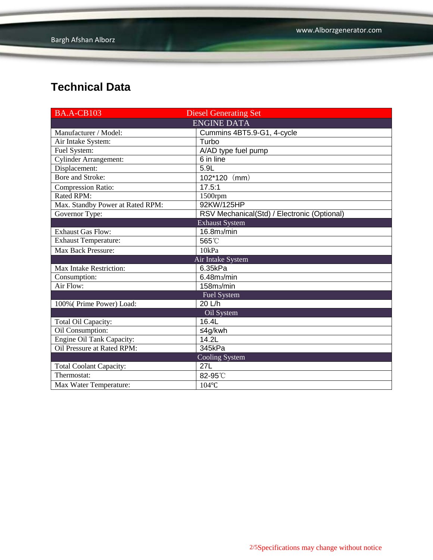| <b>BA.A-CB103</b>                | <b>Diesel Generating Set</b>                |  |  |  |  |  |
|----------------------------------|---------------------------------------------|--|--|--|--|--|
| <b>ENGINE DATA</b>               |                                             |  |  |  |  |  |
| Manufacturer / Model:            | Cummins 4BT5.9-G1, 4-cycle                  |  |  |  |  |  |
| Air Intake System:               | Turbo                                       |  |  |  |  |  |
| Fuel System:                     | A/AD type fuel pump                         |  |  |  |  |  |
| Cylinder Arrangement:            | 6 in line                                   |  |  |  |  |  |
| Displacement:                    | $\overline{5.9}$ L                          |  |  |  |  |  |
| <b>Bore and Stroke:</b>          | $102*120$ (mm)                              |  |  |  |  |  |
| <b>Compression Ratio:</b>        | 17.5:1                                      |  |  |  |  |  |
| <b>Rated RPM:</b>                | 1500rpm                                     |  |  |  |  |  |
| Max. Standby Power at Rated RPM: | 92KW/125HP                                  |  |  |  |  |  |
| Governor Type:                   | RSV Mechanical(Std) / Electronic (Optional) |  |  |  |  |  |
|                                  | <b>Exhaust System</b>                       |  |  |  |  |  |
| <b>Exhaust Gas Flow:</b>         | 16.8m <sub>3</sub> /min                     |  |  |  |  |  |
| <b>Exhaust Temperature:</b>      | 565°C                                       |  |  |  |  |  |
| Max Back Pressure:               | 10kPa                                       |  |  |  |  |  |
|                                  | Air Intake System                           |  |  |  |  |  |
| Max Intake Restriction:          | 6.35kPa                                     |  |  |  |  |  |
| Consumption:                     | 6.48 <sub>m3</sub> /min                     |  |  |  |  |  |
| Air Flow:                        | 158m <sub>3</sub> /min                      |  |  |  |  |  |
| <b>Fuel System</b>               |                                             |  |  |  |  |  |
| 100% (Prime Power) Load:         | 20 L/h                                      |  |  |  |  |  |
|                                  | Oil System                                  |  |  |  |  |  |
| Total Oil Capacity:              | 16.4L                                       |  |  |  |  |  |
| Oil Consumption:                 | ≤4g/kwh                                     |  |  |  |  |  |
| <b>Engine Oil Tank Capacity:</b> | 14.2L                                       |  |  |  |  |  |
| Oil Pressure at Rated RPM:       | 345kPa                                      |  |  |  |  |  |
|                                  | Cooling System                              |  |  |  |  |  |
| <b>Total Coolant Capacity:</b>   | 27L                                         |  |  |  |  |  |
| Thermostat:                      | 82-95°C                                     |  |  |  |  |  |
| Max Water Temperature:           | $104^{\circ}$ C                             |  |  |  |  |  |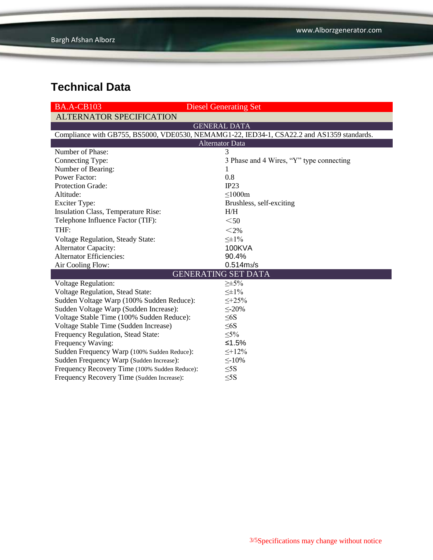| <b>BA.A-CB103</b>                                                                          | <b>Diesel Generating Set</b>             |  |  |  |  |  |
|--------------------------------------------------------------------------------------------|------------------------------------------|--|--|--|--|--|
| <b>ALTERNATOR SPECIFICATION</b>                                                            |                                          |  |  |  |  |  |
| <b>GENERAL DATA</b>                                                                        |                                          |  |  |  |  |  |
| Compliance with GB755, BS5000, VDE0530, NEMAMG1-22, IED34-1, CSA22.2 and AS1359 standards. |                                          |  |  |  |  |  |
| <b>Alternator Data</b>                                                                     |                                          |  |  |  |  |  |
| Number of Phase:                                                                           | 3                                        |  |  |  |  |  |
| Connecting Type:                                                                           | 3 Phase and 4 Wires, "Y" type connecting |  |  |  |  |  |
| Number of Bearing:                                                                         | 1                                        |  |  |  |  |  |
| <b>Power Factor:</b>                                                                       | 0.8                                      |  |  |  |  |  |
| Protection Grade:                                                                          | IP23                                     |  |  |  |  |  |
| Altitude:                                                                                  | $\leq$ 1000m                             |  |  |  |  |  |
| <b>Exciter Type:</b>                                                                       | Brushless, self-exciting                 |  |  |  |  |  |
| Insulation Class, Temperature Rise:                                                        | H/H                                      |  |  |  |  |  |
| Telephone Influence Factor (TIF):                                                          | $50$                                     |  |  |  |  |  |
| THF:                                                                                       | $<$ 2%                                   |  |  |  |  |  |
| Voltage Regulation, Steady State:                                                          | $\leq \pm 1\%$                           |  |  |  |  |  |
| <b>Alternator Capacity:</b>                                                                | <b>100KVA</b>                            |  |  |  |  |  |
| <b>Alternator Efficiencies:</b>                                                            | 90.4%                                    |  |  |  |  |  |
| Air Cooling Flow:                                                                          | $0.514 \, \text{m}$ <sub>3</sub> /s      |  |  |  |  |  |
|                                                                                            | <b>GENERATING SET DATA</b>               |  |  |  |  |  |
| <b>Voltage Regulation:</b>                                                                 | $\geq \pm 5\%$                           |  |  |  |  |  |
| Voltage Regulation, Stead State:                                                           | $\leq \pm 1\%$                           |  |  |  |  |  |
| Sudden Voltage Warp (100% Sudden Reduce):                                                  | $\leq +25\%$                             |  |  |  |  |  |
| Sudden Voltage Warp (Sudden Increase):                                                     | $\leq$ -20%                              |  |  |  |  |  |
| Voltage Stable Time (100% Sudden Reduce):                                                  | $\leq 6S$                                |  |  |  |  |  |
| Voltage Stable Time (Sudden Increase)                                                      | $\leq 6S$                                |  |  |  |  |  |
| Frequency Regulation, Stead State:                                                         | $\leq 5\%$                               |  |  |  |  |  |
| Frequency Waving:                                                                          | ≤1.5%                                    |  |  |  |  |  |
| Sudden Frequency Warp (100% Sudden Reduce):                                                | $\leq +12\%$                             |  |  |  |  |  |
| Sudden Frequency Warp (Sudden Increase):                                                   | $\leq$ -10%                              |  |  |  |  |  |
| Frequency Recovery Time (100% Sudden Reduce):                                              | $\leq$ 5S                                |  |  |  |  |  |
| Frequency Recovery Time (Sudden Increase):                                                 | $\leq$ 5S                                |  |  |  |  |  |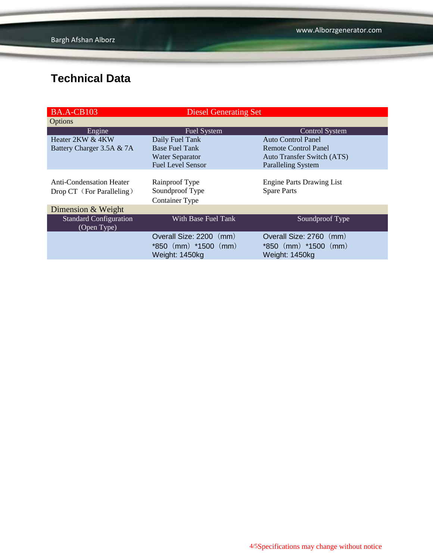| <b>BA.A-CB103</b>                     | <b>Diesel Generating Set</b> |                                   |  |  |
|---------------------------------------|------------------------------|-----------------------------------|--|--|
| Options                               |                              |                                   |  |  |
| Engine                                | <b>Fuel System</b>           | <b>Control System</b>             |  |  |
| Heater 2KW & 4KW                      | Daily Fuel Tank              | Auto Control Panel                |  |  |
| Battery Charger 3.5A & 7A             | <b>Base Fuel Tank</b>        | Remote Control Panel              |  |  |
|                                       | <b>Water Separator</b>       | <b>Auto Transfer Switch (ATS)</b> |  |  |
|                                       | <b>Fuel Level Sensor</b>     | <b>Paralleling System</b>         |  |  |
|                                       |                              |                                   |  |  |
| <b>Anti-Condensation Heater</b>       | Rainproof Type               | <b>Engine Parts Drawing List</b>  |  |  |
| Drop CT (For Paralleling)             | Soundproof Type              | <b>Spare Parts</b>                |  |  |
|                                       | <b>Container Type</b>        |                                   |  |  |
| Dimension & Weight                    |                              |                                   |  |  |
| Standard Configuration<br>(Open Type) | With Base Fuel Tank          | Soundproof Type                   |  |  |
|                                       | Overall Size: 2200 (mm)      | Overall Size: 2760 (mm)           |  |  |
|                                       | *850 (mm) *1500 (mm)         | $*850$ (mm) $*1500$ (mm)          |  |  |
|                                       | Weight: 1450kg               | Weight: 1450kg                    |  |  |
|                                       |                              |                                   |  |  |